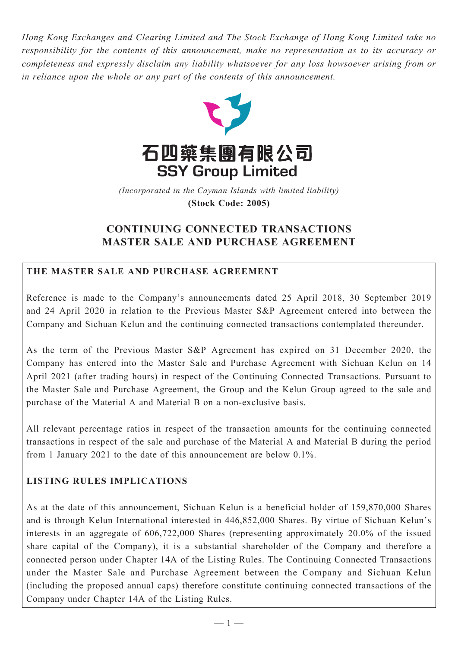*Hong Kong Exchanges and Clearing Limited and The Stock Exchange of Hong Kong Limited take no responsibility for the contents of this announcement, make no representation as to its accuracy or completeness and expressly disclaim any liability whatsoever for any loss howsoever arising from or in reliance upon the whole or any part of the contents of this announcement.*



(Incorporated in the Cayman Islands with limited liability) **(Stock Code: 2005)** *(Incorporated in the Cayman Islands with limited liability)* **(Stock Code: 2005)**

# **CONTINUING CONNECTED TRANSACTIONS MASTER SALE AND PURCHASE AGREEMENT**

## **THE MASTER SALE AND PURCHASE AGREEMENT**

Reference is made to the Company's announcements dated 25 April 2018, 30 September 2019 and 24 April 2020 in relation to the Previous Master S&P Agreement entered into between the Company and Sichuan Kelun and the continuing connected transactions contemplated thereunder.

As the term of the Previous Master S&P Agreement has expired on 31 December 2020, the Company has entered into the Master Sale and Purchase Agreement with Sichuan Kelun on 14 April 2021 (after trading hours) in respect of the Continuing Connected Transactions. Pursuant to the Master Sale and Purchase Agreement, the Group and the Kelun Group agreed to the sale and purchase of the Material A and Material B on a non-exclusive basis.

All relevant percentage ratios in respect of the transaction amounts for the continuing connected transactions in respect of the sale and purchase of the Material A and Material B during the period from 1 January 2021 to the date of this announcement are below 0.1%.

## **LISTING RULES IMPLICATIONS**

As at the date of this announcement, Sichuan Kelun is a beneficial holder of 159,870,000 Shares and is through Kelun International interested in 446,852,000 Shares. By virtue of Sichuan Kelun's interests in an aggregate of 606,722,000 Shares (representing approximately 20.0% of the issued share capital of the Company), it is a substantial shareholder of the Company and therefore a connected person under Chapter 14A of the Listing Rules. The Continuing Connected Transactions under the Master Sale and Purchase Agreement between the Company and Sichuan Kelun (including the proposed annual caps) therefore constitute continuing connected transactions of the Company under Chapter 14A of the Listing Rules.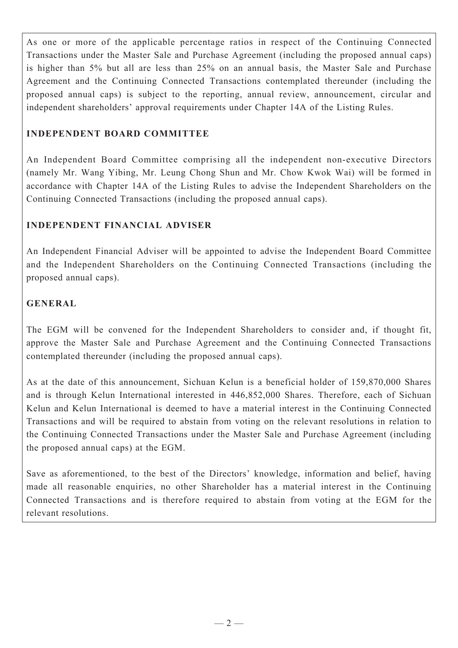As one or more of the applicable percentage ratios in respect of the Continuing Connected Transactions under the Master Sale and Purchase Agreement (including the proposed annual caps) is higher than 5% but all are less than 25% on an annual basis, the Master Sale and Purchase Agreement and the Continuing Connected Transactions contemplated thereunder (including the proposed annual caps) is subject to the reporting, annual review, announcement, circular and independent shareholders' approval requirements under Chapter 14A of the Listing Rules.

## **INDEPENDENT BOARD COMMITTEE**

An Independent Board Committee comprising all the independent non-executive Directors (namely Mr. Wang Yibing, Mr. Leung Chong Shun and Mr. Chow Kwok Wai) will be formed in accordance with Chapter 14A of the Listing Rules to advise the Independent Shareholders on the Continuing Connected Transactions (including the proposed annual caps).

### **INDEPENDENT FINANCIAL ADVISER**

An Independent Financial Adviser will be appointed to advise the Independent Board Committee and the Independent Shareholders on the Continuing Connected Transactions (including the proposed annual caps).

### **GENERAL**

The EGM will be convened for the Independent Shareholders to consider and, if thought fit, approve the Master Sale and Purchase Agreement and the Continuing Connected Transactions contemplated thereunder (including the proposed annual caps).

As at the date of this announcement, Sichuan Kelun is a beneficial holder of 159,870,000 Shares and is through Kelun International interested in 446,852,000 Shares. Therefore, each of Sichuan Kelun and Kelun International is deemed to have a material interest in the Continuing Connected Transactions and will be required to abstain from voting on the relevant resolutions in relation to the Continuing Connected Transactions under the Master Sale and Purchase Agreement (including the proposed annual caps) at the EGM.

Save as aforementioned, to the best of the Directors' knowledge, information and belief, having made all reasonable enquiries, no other Shareholder has a material interest in the Continuing Connected Transactions and is therefore required to abstain from voting at the EGM for the relevant resolutions.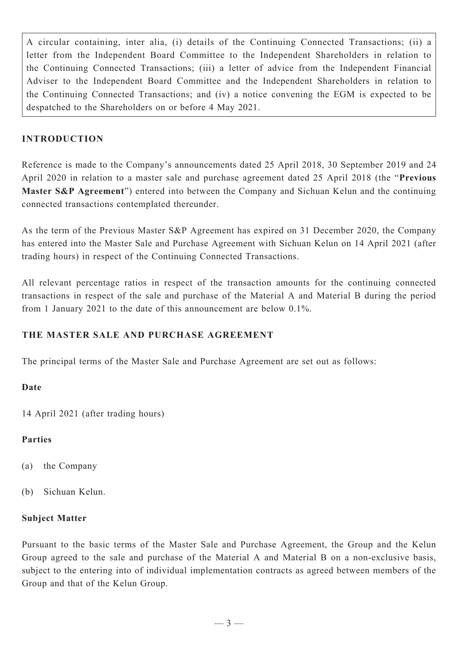A circular containing, inter alia, (i) details of the Continuing Connected Transactions; (ii) a letter from the Independent Board Committee to the Independent Shareholders in relation to the Continuing Connected Transactions; (iii) a letter of advice from the Independent Financial Adviser to the Independent Board Committee and the Independent Shareholders in relation to the Continuing Connected Transactions; and (iv) a notice convening the EGM is expected to be despatched to the Shareholders on or before 4 May 2021.

## **INTRODUCTION**

Reference is made to the Company's announcements dated 25 April 2018, 30 September 2019 and 24 April 2020 in relation to a master sale and purchase agreement dated 25 April 2018 (the "**Previous Master S&P Agreement**") entered into between the Company and Sichuan Kelun and the continuing connected transactions contemplated thereunder.

As the term of the Previous Master S&P Agreement has expired on 31 December 2020, the Company has entered into the Master Sale and Purchase Agreement with Sichuan Kelun on 14 April 2021 (after trading hours) in respect of the Continuing Connected Transactions.

All relevant percentage ratios in respect of the transaction amounts for the continuing connected transactions in respect of the sale and purchase of the Material A and Material B during the period from 1 January 2021 to the date of this announcement are below 0.1%.

## **THE MASTER SALE AND PURCHASE AGREEMENT**

The principal terms of the Master Sale and Purchase Agreement are set out as follows:

### **Date**

14 April 2021 (after trading hours)

### **Parties**

- (a) the Company
- (b) Sichuan Kelun.

#### **Subject Matter**

Pursuant to the basic terms of the Master Sale and Purchase Agreement, the Group and the Kelun Group agreed to the sale and purchase of the Material A and Material B on a non-exclusive basis, subject to the entering into of individual implementation contracts as agreed between members of the Group and that of the Kelun Group.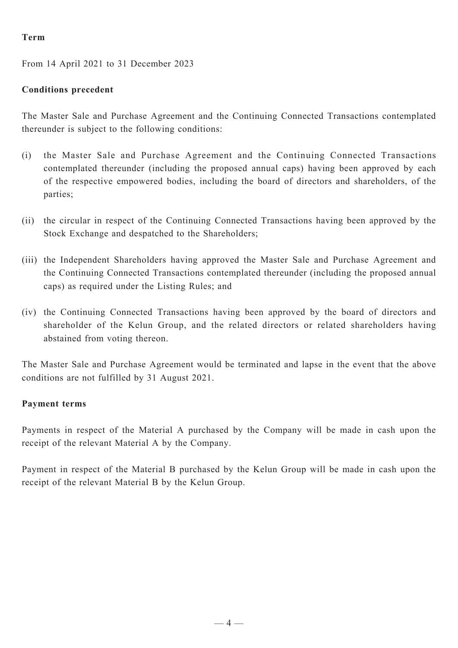#### **Term**

From 14 April 2021 to 31 December 2023

## **Conditions precedent**

The Master Sale and Purchase Agreement and the Continuing Connected Transactions contemplated thereunder is subject to the following conditions:

- (i) the Master Sale and Purchase Agreement and the Continuing Connected Transactions contemplated thereunder (including the proposed annual caps) having been approved by each of the respective empowered bodies, including the board of directors and shareholders, of the parties;
- (ii) the circular in respect of the Continuing Connected Transactions having been approved by the Stock Exchange and despatched to the Shareholders;
- (iii) the Independent Shareholders having approved the Master Sale and Purchase Agreement and the Continuing Connected Transactions contemplated thereunder (including the proposed annual caps) as required under the Listing Rules; and
- (iv) the Continuing Connected Transactions having been approved by the board of directors and shareholder of the Kelun Group, and the related directors or related shareholders having abstained from voting thereon.

The Master Sale and Purchase Agreement would be terminated and lapse in the event that the above conditions are not fulfilled by 31 August 2021.

### **Payment terms**

Payments in respect of the Material A purchased by the Company will be made in cash upon the receipt of the relevant Material A by the Company.

Payment in respect of the Material B purchased by the Kelun Group will be made in cash upon the receipt of the relevant Material B by the Kelun Group.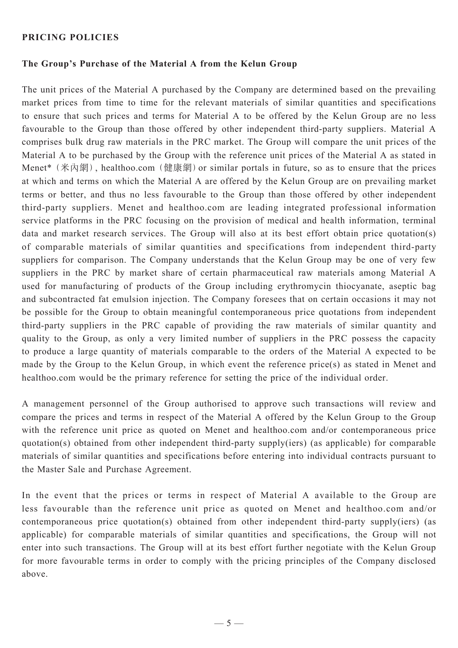#### **Pricing policies**

#### **The Group's Purchase of the Material A from the Kelun Group**

The unit prices of the Material A purchased by the Company are determined based on the prevailing market prices from time to time for the relevant materials of similar quantities and specifications to ensure that such prices and terms for Material A to be offered by the Kelun Group are no less favourable to the Group than those offered by other independent third-party suppliers. Material A comprises bulk drug raw materials in the PRC market. The Group will compare the unit prices of the Material A to be purchased by the Group with the reference unit prices of the Material A as stated in Menet<sup>\*</sup> (米內網), healthoo.com (健康網) or similar portals in future, so as to ensure that the prices at which and terms on which the Material A are offered by the Kelun Group are on prevailing market terms or better, and thus no less favourable to the Group than those offered by other independent third-party suppliers. Menet and healthoo.com are leading integrated professional information service platforms in the PRC focusing on the provision of medical and health information, terminal data and market research services. The Group will also at its best effort obtain price quotation(s) of comparable materials of similar quantities and specifications from independent third-party suppliers for comparison. The Company understands that the Kelun Group may be one of very few suppliers in the PRC by market share of certain pharmaceutical raw materials among Material A used for manufacturing of products of the Group including erythromycin thiocyanate, aseptic bag and subcontracted fat emulsion injection. The Company foresees that on certain occasions it may not be possible for the Group to obtain meaningful contemporaneous price quotations from independent third-party suppliers in the PRC capable of providing the raw materials of similar quantity and quality to the Group, as only a very limited number of suppliers in the PRC possess the capacity to produce a large quantity of materials comparable to the orders of the Material A expected to be made by the Group to the Kelun Group, in which event the reference price(s) as stated in Menet and healthoo.com would be the primary reference for setting the price of the individual order.

A management personnel of the Group authorised to approve such transactions will review and compare the prices and terms in respect of the Material A offered by the Kelun Group to the Group with the reference unit price as quoted on Menet and healthoo.com and/or contemporaneous price quotation(s) obtained from other independent third-party supply(iers) (as applicable) for comparable materials of similar quantities and specifications before entering into individual contracts pursuant to the Master Sale and Purchase Agreement.

In the event that the prices or terms in respect of Material A available to the Group are less favourable than the reference unit price as quoted on Menet and healthoo.com and/or contemporaneous price quotation(s) obtained from other independent third-party supply(iers) (as applicable) for comparable materials of similar quantities and specifications, the Group will not enter into such transactions. The Group will at its best effort further negotiate with the Kelun Group for more favourable terms in order to comply with the pricing principles of the Company disclosed above.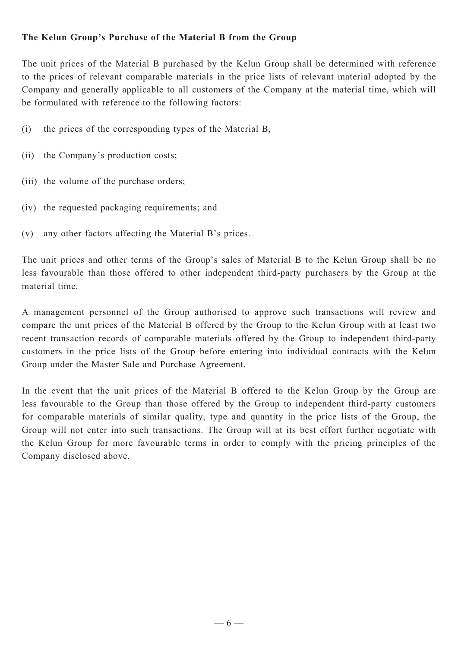### **The Kelun Group's Purchase of the Material B from the Group**

The unit prices of the Material B purchased by the Kelun Group shall be determined with reference to the prices of relevant comparable materials in the price lists of relevant material adopted by the Company and generally applicable to all customers of the Company at the material time, which will be formulated with reference to the following factors:

- (i) the prices of the corresponding types of the Material B,
- (ii) the Company's production costs;
- (iii) the volume of the purchase orders:
- (iv) the requested packaging requirements; and
- (v) any other factors affecting the Material B's prices.

The unit prices and other terms of the Group's sales of Material B to the Kelun Group shall be no less favourable than those offered to other independent third-party purchasers by the Group at the material time.

A management personnel of the Group authorised to approve such transactions will review and compare the unit prices of the Material B offered by the Group to the Kelun Group with at least two recent transaction records of comparable materials offered by the Group to independent third-party customers in the price lists of the Group before entering into individual contracts with the Kelun Group under the Master Sale and Purchase Agreement.

In the event that the unit prices of the Material B offered to the Kelun Group by the Group are less favourable to the Group than those offered by the Group to independent third-party customers for comparable materials of similar quality, type and quantity in the price lists of the Group, the Group will not enter into such transactions. The Group will at its best effort further negotiate with the Kelun Group for more favourable terms in order to comply with the pricing principles of the Company disclosed above.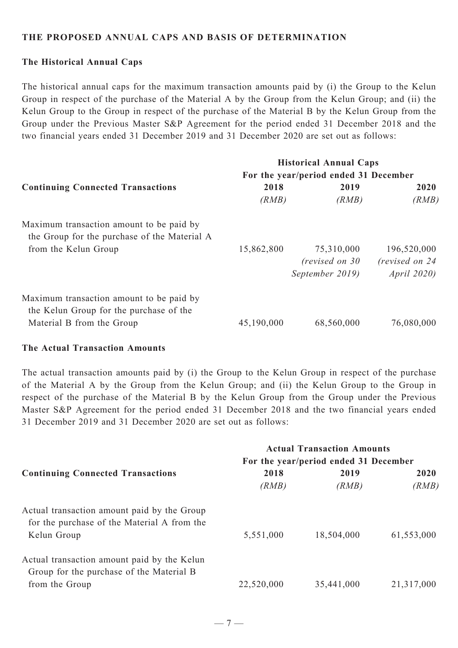#### **THE PROPOSED ANNUAL CAPS AND BASIS OF DETERMINATION**

#### **The Historical Annual Caps**

The historical annual caps for the maximum transaction amounts paid by (i) the Group to the Kelun Group in respect of the purchase of the Material A by the Group from the Kelun Group; and (ii) the Kelun Group to the Group in respect of the purchase of the Material B by the Kelun Group from the Group under the Previous Master S&P Agreement for the period ended 31 December 2018 and the two financial years ended 31 December 2019 and 31 December 2020 are set out as follows:

| <b>Continuing Connected Transactions</b>                                                                         | <b>Historical Annual Caps</b><br>For the year/period ended 31 December |                                                  |                                                      |
|------------------------------------------------------------------------------------------------------------------|------------------------------------------------------------------------|--------------------------------------------------|------------------------------------------------------|
|                                                                                                                  | 2018<br>(RMB)                                                          | 2019<br>(RMB)                                    | 2020<br>(RMB)                                        |
| Maximum transaction amount to be paid by<br>the Group for the purchase of the Material A<br>from the Kelun Group | 15,862,800                                                             | 75,310,000<br>(revised on 30)<br>September 2019) | 196,520,000<br>(revised on 24)<br><i>April</i> 2020) |
| Maximum transaction amount to be paid by<br>the Kelun Group for the purchase of the<br>Material B from the Group | 45,190,000                                                             | 68,560,000                                       | 76,080,000                                           |

#### **The Actual Transaction Amounts**

The actual transaction amounts paid by (i) the Group to the Kelun Group in respect of the purchase of the Material A by the Group from the Kelun Group; and (ii) the Kelun Group to the Group in respect of the purchase of the Material B by the Kelun Group from the Group under the Previous Master S&P Agreement for the period ended 31 December 2018 and the two financial years ended 31 December 2019 and 31 December 2020 are set out as follows:

| <b>Continuing Connected Transactions</b>                                                                  | <b>Actual Transaction Amounts</b><br>For the year/period ended 31 December |                     |                     |
|-----------------------------------------------------------------------------------------------------------|----------------------------------------------------------------------------|---------------------|---------------------|
|                                                                                                           | 2018                                                                       | 2019                | 2020                |
| Actual transaction amount paid by the Group<br>for the purchase of the Material A from the<br>Kelun Group | (RMB)<br>5,551,000                                                         | (RMB)<br>18,504,000 | (RMB)<br>61,553,000 |
| Actual transaction amount paid by the Kelun<br>Group for the purchase of the Material B<br>from the Group | 22,520,000                                                                 | 35,441,000          | 21,317,000          |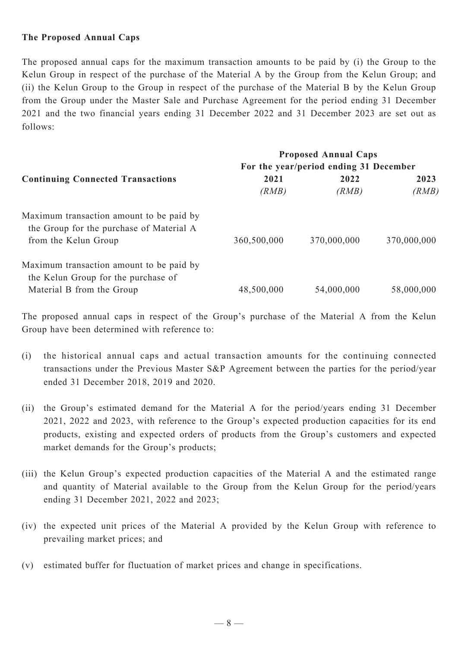#### **The Proposed Annual Caps**

The proposed annual caps for the maximum transaction amounts to be paid by (i) the Group to the Kelun Group in respect of the purchase of the Material A by the Group from the Kelun Group; and (ii) the Kelun Group to the Group in respect of the purchase of the Material B by the Kelun Group from the Group under the Master Sale and Purchase Agreement for the period ending 31 December 2021 and the two financial years ending 31 December 2022 and 31 December 2023 are set out as follows:

|                                                                                      | <b>Proposed Annual Caps</b><br>For the year/period ending 31 December |             |             |
|--------------------------------------------------------------------------------------|-----------------------------------------------------------------------|-------------|-------------|
| <b>Continuing Connected Transactions</b>                                             |                                                                       |             |             |
|                                                                                      | 2021                                                                  | 2022        | 2023        |
|                                                                                      | (RMB)                                                                 | (RMB)       | (RMB)       |
| Maximum transaction amount to be paid by<br>the Group for the purchase of Material A |                                                                       |             |             |
| from the Kelun Group                                                                 | 360,500,000                                                           | 370,000,000 | 370,000,000 |
| Maximum transaction amount to be paid by                                             |                                                                       |             |             |
| the Kelun Group for the purchase of                                                  |                                                                       |             |             |
| Material B from the Group                                                            | 48,500,000                                                            | 54,000,000  | 58,000,000  |

The proposed annual caps in respect of the Group's purchase of the Material A from the Kelun Group have been determined with reference to:

- (i) the historical annual caps and actual transaction amounts for the continuing connected transactions under the Previous Master S&P Agreement between the parties for the period/year ended 31 December 2018, 2019 and 2020.
- (ii) the Group's estimated demand for the Material A for the period/years ending 31 December 2021, 2022 and 2023, with reference to the Group's expected production capacities for its end products, existing and expected orders of products from the Group's customers and expected market demands for the Group's products;
- (iii) the Kelun Group's expected production capacities of the Material A and the estimated range and quantity of Material available to the Group from the Kelun Group for the period/years ending 31 December 2021, 2022 and 2023;
- (iv) the expected unit prices of the Material A provided by the Kelun Group with reference to prevailing market prices; and
- (v) estimated buffer for fluctuation of market prices and change in specifications.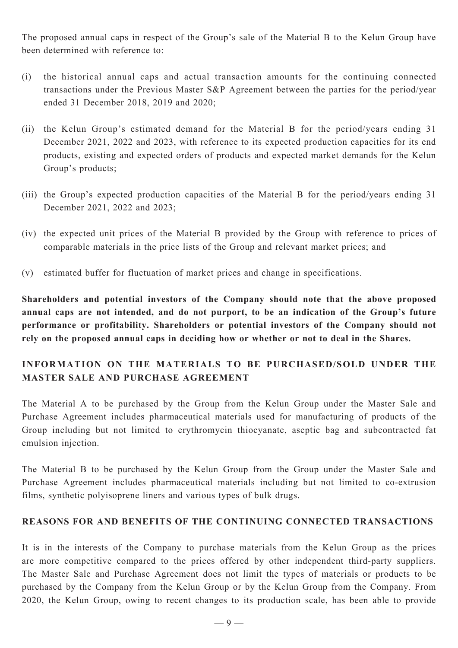The proposed annual caps in respect of the Group's sale of the Material B to the Kelun Group have been determined with reference to:

- (i) the historical annual caps and actual transaction amounts for the continuing connected transactions under the Previous Master S&P Agreement between the parties for the period/year ended 31 December 2018, 2019 and 2020;
- (ii) the Kelun Group's estimated demand for the Material B for the period/years ending 31 December 2021, 2022 and 2023, with reference to its expected production capacities for its end products, existing and expected orders of products and expected market demands for the Kelun Group's products;
- (iii) the Group's expected production capacities of the Material B for the period/years ending 31 December 2021, 2022 and 2023;
- (iv) the expected unit prices of the Material B provided by the Group with reference to prices of comparable materials in the price lists of the Group and relevant market prices; and
- (v) estimated buffer for fluctuation of market prices and change in specifications.

**Shareholders and potential investors of the Company should note that the above proposed annual caps are not intended, and do not purport, to be an indication of the Group's future performance or profitability. Shareholders or potential investors of the Company should not rely on the proposed annual caps in deciding how or whether or not to deal in the Shares.**

## **INFORMATION ON THE MATERIALS TO BE PURCHASED/SOLD UNDER THE MASTER SALE AND PURCHASE AGREEMENT**

The Material A to be purchased by the Group from the Kelun Group under the Master Sale and Purchase Agreement includes pharmaceutical materials used for manufacturing of products of the Group including but not limited to erythromycin thiocyanate, aseptic bag and subcontracted fat emulsion injection.

The Material B to be purchased by the Kelun Group from the Group under the Master Sale and Purchase Agreement includes pharmaceutical materials including but not limited to co-extrusion films, synthetic polyisoprene liners and various types of bulk drugs.

## **REASONS FOR AND BENEFITS OF THE CONTINUING CONNECTED TRANSACTIONS**

It is in the interests of the Company to purchase materials from the Kelun Group as the prices are more competitive compared to the prices offered by other independent third-party suppliers. The Master Sale and Purchase Agreement does not limit the types of materials or products to be purchased by the Company from the Kelun Group or by the Kelun Group from the Company. From 2020, the Kelun Group, owing to recent changes to its production scale, has been able to provide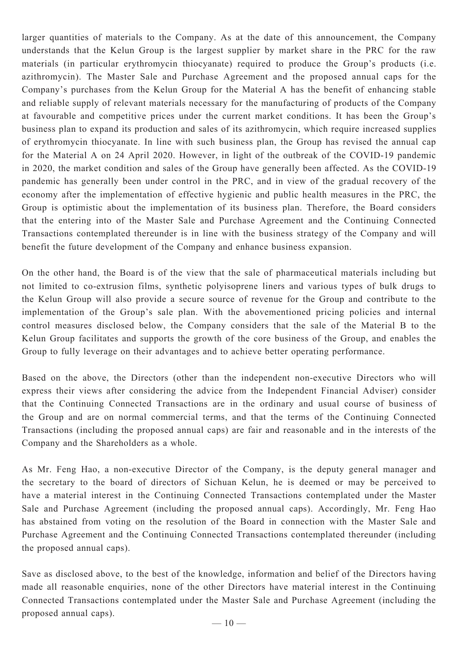larger quantities of materials to the Company. As at the date of this announcement, the Company understands that the Kelun Group is the largest supplier by market share in the PRC for the raw materials (in particular erythromycin thiocyanate) required to produce the Group's products (i.e. azithromycin). The Master Sale and Purchase Agreement and the proposed annual caps for the Company's purchases from the Kelun Group for the Material A has the benefit of enhancing stable and reliable supply of relevant materials necessary for the manufacturing of products of the Company at favourable and competitive prices under the current market conditions. It has been the Group's business plan to expand its production and sales of its azithromycin, which require increased supplies of erythromycin thiocyanate. In line with such business plan, the Group has revised the annual cap for the Material A on 24 April 2020. However, in light of the outbreak of the COVID-19 pandemic in 2020, the market condition and sales of the Group have generally been affected. As the COVID-19 pandemic has generally been under control in the PRC, and in view of the gradual recovery of the economy after the implementation of effective hygienic and public health measures in the PRC, the Group is optimistic about the implementation of its business plan. Therefore, the Board considers that the entering into of the Master Sale and Purchase Agreement and the Continuing Connected Transactions contemplated thereunder is in line with the business strategy of the Company and will benefit the future development of the Company and enhance business expansion.

On the other hand, the Board is of the view that the sale of pharmaceutical materials including but not limited to co-extrusion films, synthetic polyisoprene liners and various types of bulk drugs to the Kelun Group will also provide a secure source of revenue for the Group and contribute to the implementation of the Group's sale plan. With the abovementioned pricing policies and internal control measures disclosed below, the Company considers that the sale of the Material B to the Kelun Group facilitates and supports the growth of the core business of the Group, and enables the Group to fully leverage on their advantages and to achieve better operating performance.

Based on the above, the Directors (other than the independent non-executive Directors who will express their views after considering the advice from the Independent Financial Adviser) consider that the Continuing Connected Transactions are in the ordinary and usual course of business of the Group and are on normal commercial terms, and that the terms of the Continuing Connected Transactions (including the proposed annual caps) are fair and reasonable and in the interests of the Company and the Shareholders as a whole.

As Mr. Feng Hao, a non-executive Director of the Company, is the deputy general manager and the secretary to the board of directors of Sichuan Kelun, he is deemed or may be perceived to have a material interest in the Continuing Connected Transactions contemplated under the Master Sale and Purchase Agreement (including the proposed annual caps). Accordingly, Mr. Feng Hao has abstained from voting on the resolution of the Board in connection with the Master Sale and Purchase Agreement and the Continuing Connected Transactions contemplated thereunder (including the proposed annual caps).

Save as disclosed above, to the best of the knowledge, information and belief of the Directors having made all reasonable enquiries, none of the other Directors have material interest in the Continuing Connected Transactions contemplated under the Master Sale and Purchase Agreement (including the proposed annual caps).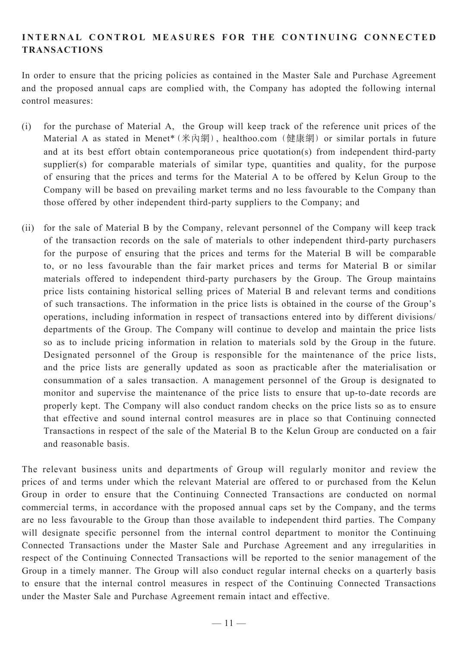## **INTERNAL CONTROL MEASURES FOR THE CONTINUING CONNECTED TRANSACTIONS**

In order to ensure that the pricing policies as contained in the Master Sale and Purchase Agreement and the proposed annual caps are complied with, the Company has adopted the following internal control measures:

- (i) for the purchase of Material A, the Group will keep track of the reference unit prices of the Material A as stated in Menet\*(米內網), healthoo.com (健康網) or similar portals in future and at its best effort obtain contemporaneous price quotation(s) from independent third-party supplier(s) for comparable materials of similar type, quantities and quality, for the purpose of ensuring that the prices and terms for the Material A to be offered by Kelun Group to the Company will be based on prevailing market terms and no less favourable to the Company than those offered by other independent third-party suppliers to the Company; and
- (ii) for the sale of Material B by the Company, relevant personnel of the Company will keep track of the transaction records on the sale of materials to other independent third-party purchasers for the purpose of ensuring that the prices and terms for the Material B will be comparable to, or no less favourable than the fair market prices and terms for Material B or similar materials offered to independent third-party purchasers by the Group. The Group maintains price lists containing historical selling prices of Material B and relevant terms and conditions of such transactions. The information in the price lists is obtained in the course of the Group's operations, including information in respect of transactions entered into by different divisions/ departments of the Group. The Company will continue to develop and maintain the price lists so as to include pricing information in relation to materials sold by the Group in the future. Designated personnel of the Group is responsible for the maintenance of the price lists, and the price lists are generally updated as soon as practicable after the materialisation or consummation of a sales transaction. A management personnel of the Group is designated to monitor and supervise the maintenance of the price lists to ensure that up-to-date records are properly kept. The Company will also conduct random checks on the price lists so as to ensure that effective and sound internal control measures are in place so that Continuing connected Transactions in respect of the sale of the Material B to the Kelun Group are conducted on a fair and reasonable basis.

The relevant business units and departments of Group will regularly monitor and review the prices of and terms under which the relevant Material are offered to or purchased from the Kelun Group in order to ensure that the Continuing Connected Transactions are conducted on normal commercial terms, in accordance with the proposed annual caps set by the Company, and the terms are no less favourable to the Group than those available to independent third parties. The Company will designate specific personnel from the internal control department to monitor the Continuing Connected Transactions under the Master Sale and Purchase Agreement and any irregularities in respect of the Continuing Connected Transactions will be reported to the senior management of the Group in a timely manner. The Group will also conduct regular internal checks on a quarterly basis to ensure that the internal control measures in respect of the Continuing Connected Transactions under the Master Sale and Purchase Agreement remain intact and effective.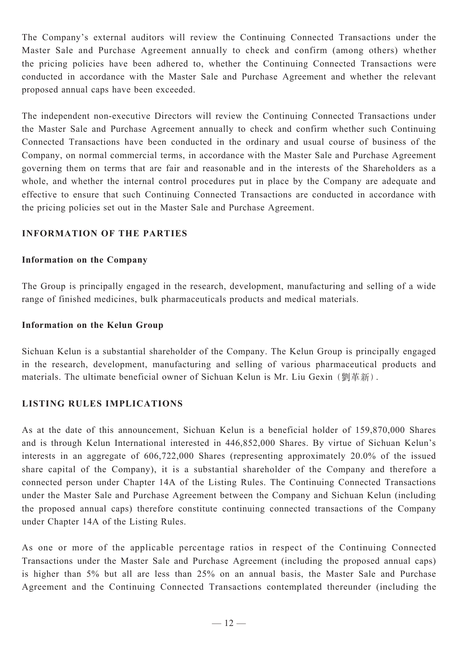The Company's external auditors will review the Continuing Connected Transactions under the Master Sale and Purchase Agreement annually to check and confirm (among others) whether the pricing policies have been adhered to, whether the Continuing Connected Transactions were conducted in accordance with the Master Sale and Purchase Agreement and whether the relevant proposed annual caps have been exceeded.

The independent non-executive Directors will review the Continuing Connected Transactions under the Master Sale and Purchase Agreement annually to check and confirm whether such Continuing Connected Transactions have been conducted in the ordinary and usual course of business of the Company, on normal commercial terms, in accordance with the Master Sale and Purchase Agreement governing them on terms that are fair and reasonable and in the interests of the Shareholders as a whole, and whether the internal control procedures put in place by the Company are adequate and effective to ensure that such Continuing Connected Transactions are conducted in accordance with the pricing policies set out in the Master Sale and Purchase Agreement.

#### **INFORMATION OF THE PARTIES**

#### **Information on the Company**

The Group is principally engaged in the research, development, manufacturing and selling of a wide range of finished medicines, bulk pharmaceuticals products and medical materials.

#### **Information on the Kelun Group**

Sichuan Kelun is a substantial shareholder of the Company. The Kelun Group is principally engaged in the research, development, manufacturing and selling of various pharmaceutical products and materials. The ultimate beneficial owner of Sichuan Kelun is Mr. Liu Gexin (劉革新).

#### **LISTING RULES IMPLICATIONS**

As at the date of this announcement, Sichuan Kelun is a beneficial holder of 159,870,000 Shares and is through Kelun International interested in 446,852,000 Shares. By virtue of Sichuan Kelun's interests in an aggregate of 606,722,000 Shares (representing approximately 20.0% of the issued share capital of the Company), it is a substantial shareholder of the Company and therefore a connected person under Chapter 14A of the Listing Rules. The Continuing Connected Transactions under the Master Sale and Purchase Agreement between the Company and Sichuan Kelun (including the proposed annual caps) therefore constitute continuing connected transactions of the Company under Chapter 14A of the Listing Rules.

As one or more of the applicable percentage ratios in respect of the Continuing Connected Transactions under the Master Sale and Purchase Agreement (including the proposed annual caps) is higher than 5% but all are less than 25% on an annual basis, the Master Sale and Purchase Agreement and the Continuing Connected Transactions contemplated thereunder (including the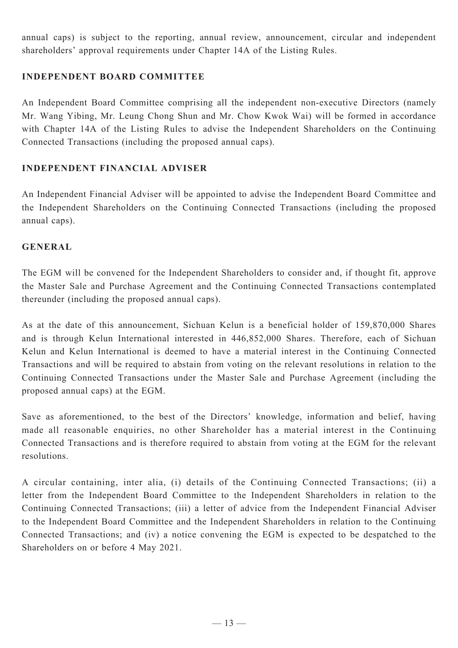annual caps) is subject to the reporting, annual review, announcement, circular and independent shareholders' approval requirements under Chapter 14A of the Listing Rules.

### **INDEPENDENT BOARD COMMITTEE**

An Independent Board Committee comprising all the independent non-executive Directors (namely Mr. Wang Yibing, Mr. Leung Chong Shun and Mr. Chow Kwok Wai) will be formed in accordance with Chapter 14A of the Listing Rules to advise the Independent Shareholders on the Continuing Connected Transactions (including the proposed annual caps).

#### **INDEPENDENT FINANCIAL ADVISER**

An Independent Financial Adviser will be appointed to advise the Independent Board Committee and the Independent Shareholders on the Continuing Connected Transactions (including the proposed annual caps).

#### **GENERAL**

The EGM will be convened for the Independent Shareholders to consider and, if thought fit, approve the Master Sale and Purchase Agreement and the Continuing Connected Transactions contemplated thereunder (including the proposed annual caps).

As at the date of this announcement, Sichuan Kelun is a beneficial holder of 159,870,000 Shares and is through Kelun International interested in 446,852,000 Shares. Therefore, each of Sichuan Kelun and Kelun International is deemed to have a material interest in the Continuing Connected Transactions and will be required to abstain from voting on the relevant resolutions in relation to the Continuing Connected Transactions under the Master Sale and Purchase Agreement (including the proposed annual caps) at the EGM.

Save as aforementioned, to the best of the Directors' knowledge, information and belief, having made all reasonable enquiries, no other Shareholder has a material interest in the Continuing Connected Transactions and is therefore required to abstain from voting at the EGM for the relevant resolutions.

A circular containing, inter alia, (i) details of the Continuing Connected Transactions; (ii) a letter from the Independent Board Committee to the Independent Shareholders in relation to the Continuing Connected Transactions; (iii) a letter of advice from the Independent Financial Adviser to the Independent Board Committee and the Independent Shareholders in relation to the Continuing Connected Transactions; and (iv) a notice convening the EGM is expected to be despatched to the Shareholders on or before 4 May 2021.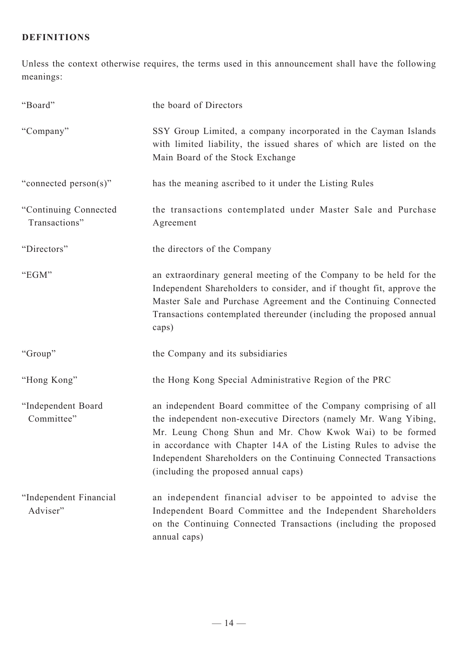## **DEFINITIONS**

Unless the context otherwise requires, the terms used in this announcement shall have the following meanings:

| "Board"                                | the board of Directors                                                                                                                                                                                                                                                                                                                                                            |
|----------------------------------------|-----------------------------------------------------------------------------------------------------------------------------------------------------------------------------------------------------------------------------------------------------------------------------------------------------------------------------------------------------------------------------------|
| "Company"                              | SSY Group Limited, a company incorporated in the Cayman Islands<br>with limited liability, the issued shares of which are listed on the<br>Main Board of the Stock Exchange                                                                                                                                                                                                       |
| "connected person(s)"                  | has the meaning ascribed to it under the Listing Rules                                                                                                                                                                                                                                                                                                                            |
| "Continuing Connected<br>Transactions" | the transactions contemplated under Master Sale and Purchase<br>Agreement                                                                                                                                                                                                                                                                                                         |
| "Directors"                            | the directors of the Company                                                                                                                                                                                                                                                                                                                                                      |
| "EGM"                                  | an extraordinary general meeting of the Company to be held for the<br>Independent Shareholders to consider, and if thought fit, approve the<br>Master Sale and Purchase Agreement and the Continuing Connected<br>Transactions contemplated thereunder (including the proposed annual<br>caps)                                                                                    |
| "Group"                                | the Company and its subsidiaries                                                                                                                                                                                                                                                                                                                                                  |
| "Hong Kong"                            | the Hong Kong Special Administrative Region of the PRC                                                                                                                                                                                                                                                                                                                            |
| "Independent Board<br>Committee"       | an independent Board committee of the Company comprising of all<br>the independent non-executive Directors (namely Mr. Wang Yibing,<br>Mr. Leung Chong Shun and Mr. Chow Kwok Wai) to be formed<br>in accordance with Chapter 14A of the Listing Rules to advise the<br>Independent Shareholders on the Continuing Connected Transactions<br>(including the proposed annual caps) |
| "Independent Financial<br>Adviser"     | an independent financial adviser to be appointed to advise the<br>Independent Board Committee and the Independent Shareholders<br>on the Continuing Connected Transactions (including the proposed<br>annual caps)                                                                                                                                                                |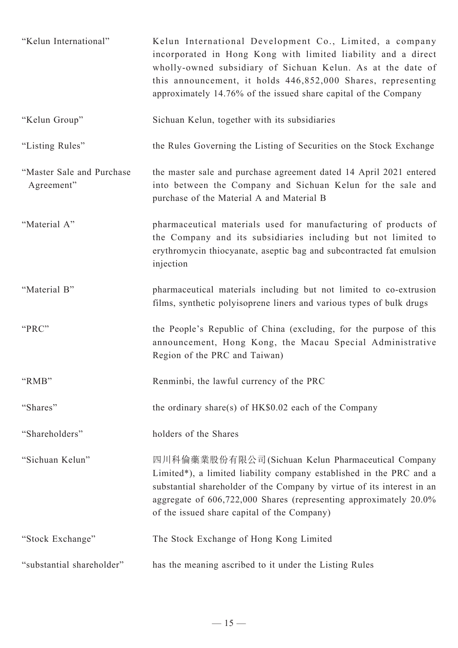| "Kelun International"                   | Kelun International Development Co., Limited, a company<br>incorporated in Hong Kong with limited liability and a direct<br>wholly-owned subsidiary of Sichuan Kelun. As at the date of<br>this announcement, it holds 446,852,000 Shares, representing<br>approximately 14.76% of the issued share capital of the Company |
|-----------------------------------------|----------------------------------------------------------------------------------------------------------------------------------------------------------------------------------------------------------------------------------------------------------------------------------------------------------------------------|
| "Kelun Group"                           | Sichuan Kelun, together with its subsidiaries                                                                                                                                                                                                                                                                              |
| "Listing Rules"                         | the Rules Governing the Listing of Securities on the Stock Exchange                                                                                                                                                                                                                                                        |
| "Master Sale and Purchase<br>Agreement" | the master sale and purchase agreement dated 14 April 2021 entered<br>into between the Company and Sichuan Kelun for the sale and<br>purchase of the Material A and Material B                                                                                                                                             |
| "Material A"                            | pharmaceutical materials used for manufacturing of products of<br>the Company and its subsidiaries including but not limited to<br>erythromycin thiocyanate, aseptic bag and subcontracted fat emulsion<br>injection                                                                                                       |
| "Material B"                            | pharmaceutical materials including but not limited to co-extrusion<br>films, synthetic polyisoprene liners and various types of bulk drugs                                                                                                                                                                                 |
| "PRC"                                   | the People's Republic of China (excluding, for the purpose of this<br>announcement, Hong Kong, the Macau Special Administrative<br>Region of the PRC and Taiwan)                                                                                                                                                           |
| "RMB"                                   | Renminbi, the lawful currency of the PRC                                                                                                                                                                                                                                                                                   |
| "Shares"                                | the ordinary share(s) of $HK$0.02$ each of the Company                                                                                                                                                                                                                                                                     |
| "Shareholders"                          | holders of the Shares                                                                                                                                                                                                                                                                                                      |
| "Sichuan Kelun"                         | 四川科倫藥業股份有限公司(Sichuan Kelun Pharmaceutical Company<br>Limited*), a limited liability company established in the PRC and a<br>substantial shareholder of the Company by virtue of its interest in an<br>aggregate of 606,722,000 Shares (representing approximately 20.0%<br>of the issued share capital of the Company)     |
| "Stock Exchange"                        | The Stock Exchange of Hong Kong Limited                                                                                                                                                                                                                                                                                    |
| "substantial shareholder"               | has the meaning ascribed to it under the Listing Rules                                                                                                                                                                                                                                                                     |